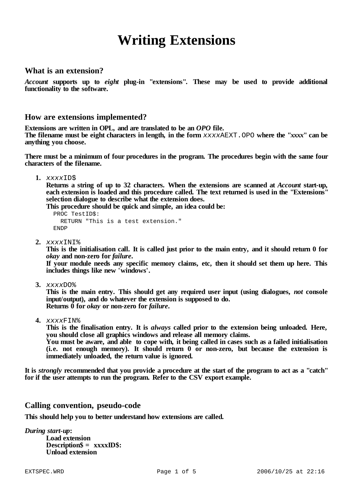# **Writing Extensions**

## **What is an extension?**

*Account* **supports up to** *eight* **plug-in "extensions". These may be used to provide additional functionality to the software.**

## **How are extensions implemented?**

**Extensions are written in OPL, and are translated to be an** *OPO* **file.**

The filename must be eight characters in length, in the form xxxxAEXT. OPO where the "xxxx" can be **anything you choose.**

**There must be a minimum of four procedures in the program. The procedures begin with the same four characters of the filename.**

**1.** *xxxx*ID\$

**Returns a string of up to 32 characters. When the extensions are scanned at** *Account* **start-up, each extension is loaded and this procedure called. The text returned is used in the "Extensions" selection dialogue to describe what the extension does.**

**This procedure should be quick and simple, an idea could be:**

PROC TestID\$: RETURN "This is a test extension." ENDP

**2.** *xxxx*INI%

This is the initialisation call. It is called just prior to the main entry, and it should return 0 for *okay* **and non-zero for** *failure***.**

**If your module needs any specific memory claims, etc, then it should set them up here. This includes things like new 'windows'.**

**3.** *xxxx*DO%

**This is the main entry. This should get any required user input (using dialogues,** *not* **console input/output), and do whatever the extension is supposed to do. Returns 0 for** *okay* **or non-zero for** *failure***.**

**4.** *xxxx*FIN%

**This is the finalisation entry. It is** *always* **called prior to the extension being unloaded. Here, you should close all graphics windows and release all memory claims.**

You must be aware, and able to cope with, it being called in cases such as a failed initialisation **(i.e. not enough memory). It should return 0 or non-zero, but because the extension is immediately unloaded, the return value is ignored.**

It is *strongly* recommended that you provide a procedure at the start of the program to act as a "catch" **for if the user attempts to run the program. Refer to the CSV export example.**

## **Calling convention, pseudo-code**

**This should help you to better understand how extensions are called.**

*During start-up***: Load extension Description\$ = xxxxID\$: Unload extension**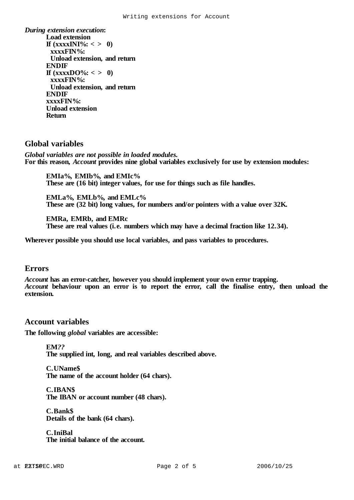*During extension execution***: Load extension If**  $(xxxxINI\%: < > 0$ **xxxxFIN%: Unload extension, and return ENDIF If**  $(xxxxDO\%: < > 0)$ **xxxxFIN%: Unload extension, and return ENDIF xxxxFIN%: Unload extension Return**

# **Global variables**

*Global variables are not possible in loaded modules.* **For this reason,** *Account* **provides nine global variables exclusively for use by extension modules:**

**EMIa%, EMIb%, and EMIc% These are (16 bit) integer values, for use for things such as file handles.**

**EMLa%, EMLb%, and EMLc% These are (32 bit) long values, for numbers and/or pointers with a value over 32K.**

**EMRa, EMRb, and EMRc These are real values (i.e. numbers which may have a decimal fraction like 12.34).**

**Wherever possible you should use local variables, and pass variables to procedures.**

## **Errors**

*Account* **has an error-catcher, however you should implement your own error trapping.** *Account* **behaviour upon an error is to report the error, call the finalise entry, then unload the extension.**

## **Account variables**

**The following** *global* **variables are accessible:**

**EM***??* **The supplied int, long, and real variables described above.**

**C.UName\$ The name of the account holder (64 chars).**

**C.IBAN\$ The IBAN or account number (48 chars).**

**C.Bank\$ Details of the bank (64 chars).**

**C.IniBal The initial balance of the account.**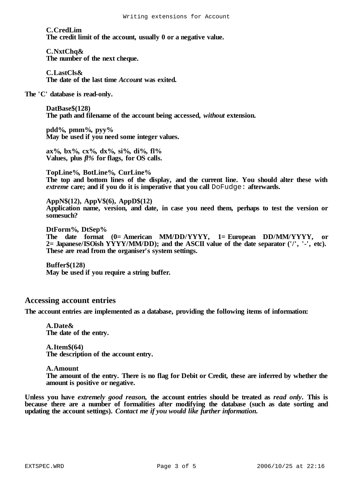#### **C.CredLim The credit limit of the account, usually 0 or a negative value.**

#### **C.NxtChq&**

**The number of the next cheque.**

## **C.LastCls&**

**The date of the last time** *Account* **was exited.**

#### **The 'C' database is read-only.**

**DatBase\$(128) The path and filename of the account being accessed,** *without* **extension.**

**pdd%, pmm%, pyy% May be used if you need some integer values.**

**ax%, bx%, cx%, dx%, si%, di%, fl% Values, plus** *fl%* **for flags, for OS calls.**

#### **TopLine%, BotLine%, CurLine%**

**The top and bottom lines of the display, and the current line. You should alter these with** *extreme* **care; and if you do it is imperative that you call** DoFudge: **afterwards.**

#### **AppN\$(12), AppV\$(6), AppD\$(12)**

**Application name, version, and date, in case you need them, perhaps to test the version or somesuch?**

**DtForm%, DtSep% The date format (0=American MM/DD/YYYY, 1=European DD/MM/YYYY, or 2=Japanese/ISOish YYYY/MM/DD); and the ASCII value of the date separator ('/', '-', etc). These are read from the organiser's system settings.**

#### **Buffer\$(128) May be used if you require a string buffer.**

## **Accessing account entries**

**The account entries are implemented as a database, providing the following items of information:**

#### **A.Date& The date of the entry.**

#### **A.Item\$(64)**

**The description of the account entry.**

#### **A.Amount**

The amount of the entry. There is no flag for Debit or Credit, these are inferred by whether the **amount is positive or negative.**

Unless you have extremely good reason, the account entries should be treated as read only. This is **because there are a number of formalities after modifying the database (such as date sorting and updating the account settings).** *Contact me if you would like further information***.**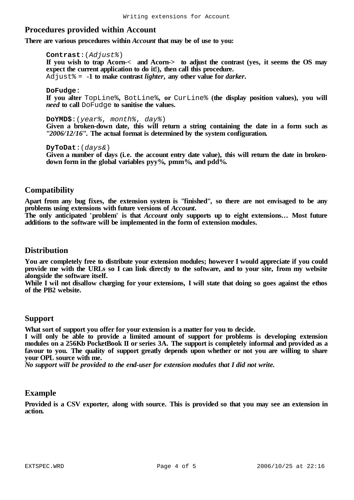# **Procedures provided within Account**

**There are various procedures within** *Account* **that may be of use to you:**

**Contrast**:(*Adjust%*) **If you wish to trap Acorn-< and Acorn-> to adjust the contrast (yes, it seems the OS may expect the current application to do it!), then call this procedure.**  $\overline{A}$ d just  $\epsilon = -1$  to make contrast *lighter*, any other value for *darker*.

**DoFudge**: **If you alter** TopLine%**,** BotLine%**, or** CurLine% **(the display position values), you will** *need* **to call** DoFudge **to sanitise the values.**

**DoYMD\$**:(*year%*, *month%*, *day%*) **Given a broken-down date, this will return a string containing the date in a form such as "***2006/12/16***". The actual format is determined by the system configuration.**

**DyToDat**:(*days&*) **Given a number of days (i.e. the account entry date value), this will return the date in brokendown form in the global variables pyy%, pmm%, and pdd%.**

## **Compatibility**

**Apart from any bug fixes, the extension system is "finished", so there are not envisaged to be any problems using extensions with future versions of** *Account***.**

**The only anticipated 'problem' is that** *Account* **only supports up to eight extensions... Most future additions to the software will be implemented in the form of extension modules.**

## **Distribution**

**You are completely free to distribute your extension modules; however I would appreciate if you could** provide me with the URLs so I can link directly to the software, and to your site, from my website **alongside the software itself.**

While I wil not disallow charging for your extensions. I will state that doing so goes against the ethos **of the PB2 website.**

## **Support**

**What sort of support you offer for your extension is a matter for you to decide.**

**I will only be able to provide a limited amount of support for problems is developing extension** modules on a 256Kb PocketBook II or series 3A. The support is completely informal and provided as a **favour to you. The quality of support greatly depends upon whether or not you are willing to share your OPL source with me.**

*No support will be provided to the end-user for extension modules that I did not write.*

## **Example**

Provided is a CSV exporter, along with source. This is provided so that you may see an extension in **action.**